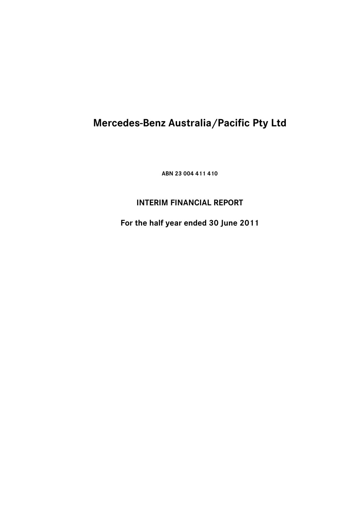**ABN 23 004 411 410** 

## **INTERIM FINANCIAL REPORT**

**For the half year ended 30 June 2011**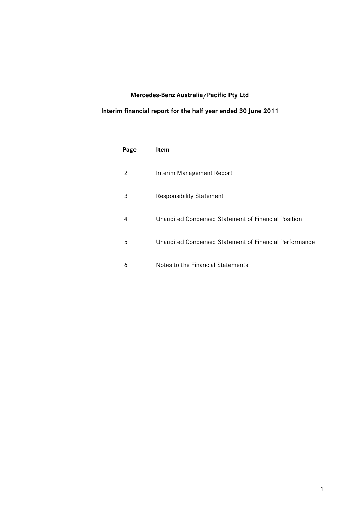### **Interim financial report for the half year ended 30 June 2011**

| Page | Item                                                   |
|------|--------------------------------------------------------|
| 2    | Interim Management Report                              |
| 3    | <b>Responsibility Statement</b>                        |
| 4    | Unaudited Condensed Statement of Financial Position    |
| 5    | Unaudited Condensed Statement of Financial Performance |
| 6    | Notes to the Financial Statements                      |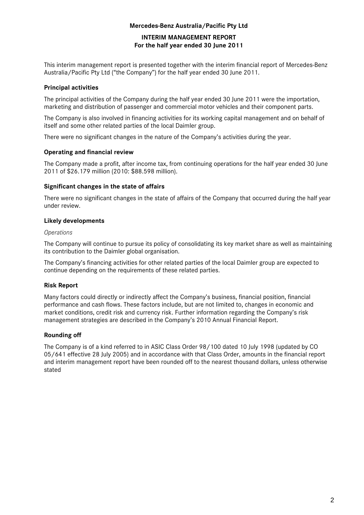### **INTERIM MANAGEMENT REPORT For the half year ended 30 June 2011**

This interim management report is presented together with the interim financial report of Mercedes-Benz Australia/Pacific Pty Ltd ("the Company") for the half year ended 30 June 2011.

### **Principal activities**

The principal activities of the Company during the half year ended 30 June 2011 were the importation, marketing and distribution of passenger and commercial motor vehicles and their component parts.

The Company is also involved in financing activities for its working capital management and on behalf of itself and some other related parties of the local Daimler group.

There were no significant changes in the nature of the Company's activities during the year.

### **Operating and financial review**

The Company made a profit, after income tax, from continuing operations for the half year ended 30 June 2011 of \$26.179 million (2010: \$88.598 million).

### **Significant changes in the state of affairs**

There were no significant changes in the state of affairs of the Company that occurred during the half year under review.

### **Likely developments**

### *Operations*

The Company will continue to pursue its policy of consolidating its key market share as well as maintaining its contribution to the Daimler global organisation.

The Company's financing activities for other related parties of the local Daimler group are expected to continue depending on the requirements of these related parties.

### **Risk Report**

Many factors could directly or indirectly affect the Company's business, financial position, financial performance and cash flows. These factors include, but are not limited to, changes in economic and market conditions, credit risk and currency risk. Further information regarding the Company's risk management strategies are described in the Company's 2010 Annual Financial Report.

### **Rounding off**

The Company is of a kind referred to in ASIC Class Order 98/100 dated 10 July 1998 (updated by CO 05/641 effective 28 July 2005) and in accordance with that Class Order, amounts in the financial report and interim management report have been rounded off to the nearest thousand dollars, unless otherwise stated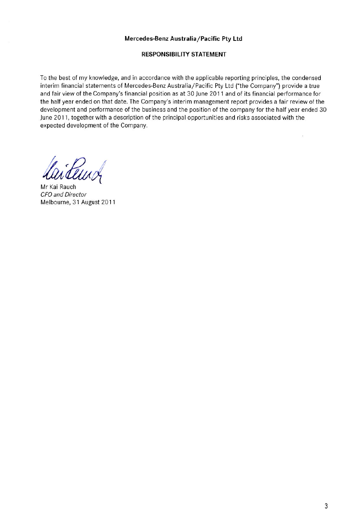### **RESPONSIBILITY STATEMENT**

To the best of my knowledge, and in accordance with the applicable reporting principles, the condensed interim financial statements of Mercedes-Benz Australia/Pacific Pty Ltd ("the Company") provide a true and fair view of the Company's financial position as at 30 June 2011 and of its financial performance for the half year ended on that date. The Company's interim management report provides a fair review of the development and performance of the business and the position of the company for the half year ended 30 June 2011, together with a description of the principal opportunities and risks associated with the expected development of the Company.

Mr Kai Rauch **CFO** and Director Melbourne, 31 August 2011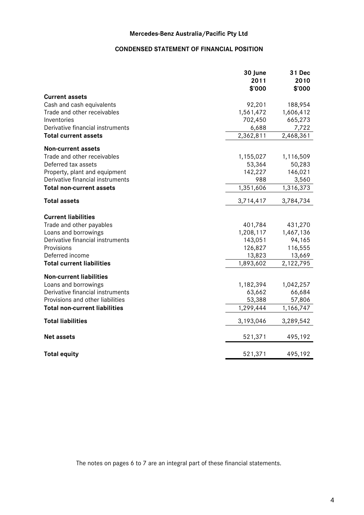### **CONDENSED STATEMENT OF FINANCIAL POSITION**

|                                      | 30 June<br>2011 | 31 Dec<br>2010         |
|--------------------------------------|-----------------|------------------------|
| <b>Current assets</b>                | \$'000          | \$'000                 |
| Cash and cash equivalents            | 92,201          | 188,954                |
| Trade and other receivables          | 1,561,472       | 1,606,412              |
| Inventories                          | 702,450         | 665,273                |
| Derivative financial instruments     | 6,688           | 7,722                  |
| <b>Total current assets</b>          | 2,362,811       | 2,468,361              |
| <b>Non-current assets</b>            |                 |                        |
| Trade and other receivables          | 1,155,027       | 1,116,509              |
| Deferred tax assets                  | 53,364          | 50,283                 |
| Property, plant and equipment        | 142,227         | 146,021                |
| Derivative financial instruments     | 988             | 3,560                  |
| <b>Total non-current assets</b>      | 1,351,606       | $\overline{1,}316,373$ |
| <b>Total assets</b>                  | 3,714,417       | 3,784,734              |
|                                      |                 |                        |
| <b>Current liabilities</b>           |                 |                        |
| Trade and other payables             | 401,784         | 431,270                |
| Loans and borrowings                 | 1,208,117       | 1,467,136              |
| Derivative financial instruments     | 143,051         | 94,165                 |
| Provisions                           | 126,827         | 116,555                |
| Deferred income                      | 13,823          | 13,669                 |
| <b>Total current liabilities</b>     | 1,893,602       | 2,122,795              |
| <b>Non-current liabilities</b>       |                 |                        |
| Loans and borrowings                 | 1,182,394       | 1,042,257              |
| Derivative financial instruments     | 63,662          | 66,684                 |
| Provisions and other liabilities     | 53,388          | 57,806                 |
| <b>Total non-current liabilities</b> | 1,299,444       | 1,166,747              |
| <b>Total liabilities</b>             | 3,193,046       | 3,289,542              |
| <b>Net assets</b>                    | 521,371         | 495,192                |
| <b>Total equity</b>                  | 521,371         | 495,192                |

The notes on pages 6 to 7 are an integral part of these financial statements.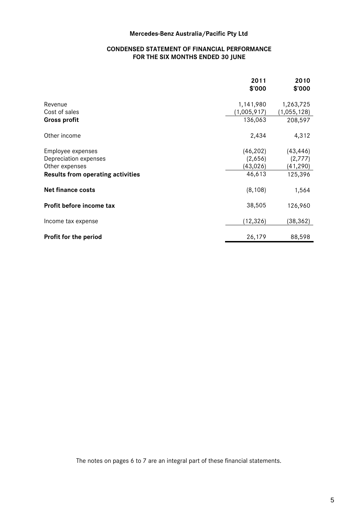### **CONDENSED STATEMENT OF FINANCIAL PERFORMANCE FOR THE SIX MONTHS ENDED 30 JUNE**

|                                   | 2011<br>\$'000 | 2010<br>\$'000 |
|-----------------------------------|----------------|----------------|
| Revenue                           | 1,141,980      | 1,263,725      |
| Cost of sales                     | (1,005,917)    | (1,055,128)    |
| <b>Gross profit</b>               | 136,063        | 208,597        |
| Other income                      | 2,434          | 4,312          |
| Employee expenses                 | (46, 202)      | (43, 446)      |
| Depreciation expenses             | (2,656)        | (2,777)        |
| Other expenses                    | (43, 026)      | (41, 290)      |
| Results from operating activities | 46,613         | 125,396        |
| <b>Net finance costs</b>          | (8, 108)       | 1,564          |
| Profit before income tax          | 38,505         | 126,960        |
| Income tax expense                | (12, 326)      | (38,362)       |
| Profit for the period             | 26,179         | 88,598         |

The notes on pages 6 to 7 are an integral part of these financial statements.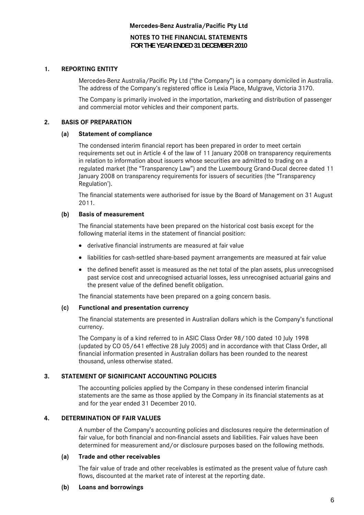**NOTES TO THE FINANCIAL STATEMENTS FOR THE YEAR ENDED 31 DECEMBER 2010** 

### **1. REPORTING ENTITY**

Mercedes-Benz Australia/Pacific Pty Ltd ("the Company") is a company domiciled in Australia. The address of the Company's registered office is Lexia Place, Mulgrave, Victoria 3170.

The Company is primarily involved in the importation, marketing and distribution of passenger and commercial motor vehicles and their component parts.

### **2. BASIS OF PREPARATION**

### **(a) Statement of compliance**

The condensed interim financial report has been prepared in order to meet certain requirements set out in Article 4 of the law of 11 January 2008 on transparency requirements in relation to information about issuers whose securities are admitted to trading on a regulated market (the "Transparency Law") and the Luxembourg Grand-Ducal decree dated 11 January 2008 on transparency requirements for issuers of securities (the "Transparency Regulation').

The financial statements were authorised for issue by the Board of Management on 31 August 2011.

### **(b) Basis of measurement**

The financial statements have been prepared on the historical cost basis except for the following material items in the statement of financial position:

- derivative financial instruments are measured at fair value
- liabilities for cash-settled share-based payment arrangements are measured at fair value
- the defined benefit asset is measured as the net total of the plan assets, plus unrecognised past service cost and unrecognised actuarial losses, less unrecognised actuarial gains and the present value of the defined benefit obligation.

The financial statements have been prepared on a going concern basis.

#### **(c) Functional and presentation currency**

The financial statements are presented in Australian dollars which is the Company's functional currency.

The Company is of a kind referred to in ASIC Class Order 98/100 dated 10 July 1998 (updated by CO 05/641 effective 28 July 2005) and in accordance with that Class Order, all financial information presented in Australian dollars has been rounded to the nearest thousand, unless otherwise stated.

### **3. STATEMENT OF SIGNIFICANT ACCOUNTING POLICIES**

The accounting policies applied by the Company in these condensed interim financial statements are the same as those applied by the Company in its financial statements as at and for the year ended 31 December 2010.

### **4. DETERMINATION OF FAIR VALUES**

A number of the Company's accounting policies and disclosures require the determination of fair value, for both financial and non-financial assets and liabilities. Fair values have been determined for measurement and/or disclosure purposes based on the following methods.

#### **(a) Trade and other receivables**

The fair value of trade and other receivables is estimated as the present value of future cash flows, discounted at the market rate of interest at the reporting date.

#### **(b) Loans and borrowings**